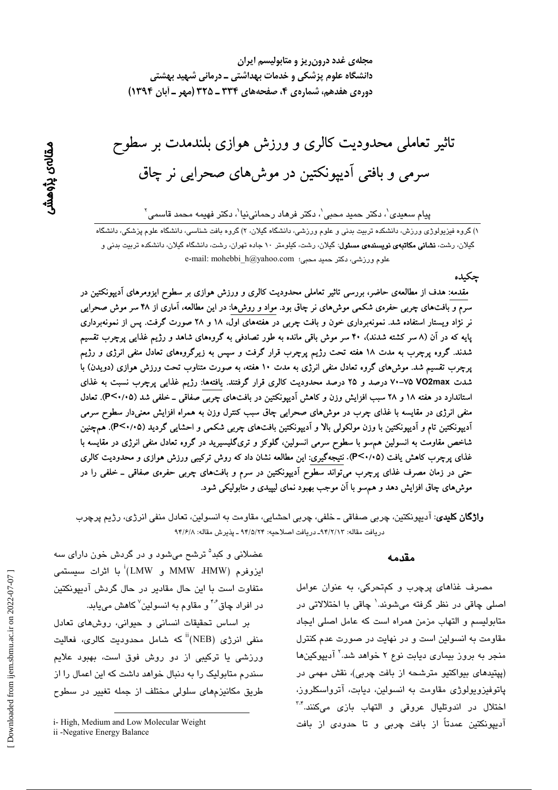مجلهی غدد درون ریز و متابولیسم ایران دانشگاه علوم پزشکی و خدمات بهداشتی ــ درمانی شهید بهشتی دورهي هفدهم، شمارهي ۴، صفحههاي 334 ـ 225 (مهر ـ أبان 1394)

تاثیر تعاملی محدودیت کالری و ورزش هوازی بلندمدت بر سطوح سرمی و بافتی آدیپونکتین در موش های صحرایی نر چاق

پیام سعیدی $'$ ، دکتر حمید محبی $'$ ، دکتر فرهاد رحمانینیا $'$ ، دکتر فهیمه محمد قاسمی $^{\vee}$ 

۱) گروه فیزیولوژی ورزش، دانشکده تربیت بدنی و علوم ورزشی، دانشگاه گیلان، ۲) گروه بافت شناسی، دانشگاه علوم پزشکی، دانشگاه گیلان، رشت، **نشانی مکاتبەی نویسندەی مسئول**: گیلان، رشت، کیلومتر ۱۰ جاده تهران، رشت، دانشگاه گیلان، دانشکده تربیت بدنی و e-mail: mohebbi\_h@yahoo.com (علوم ورزشى، دكتر حميد محبى:

#### ڃکىدە

مقدمه: هدف از مطالعهی حاضر، بررسی تاثیر تعاملی محدودیت کالری و ورزش هوازی بر سطوح ایزومرهای آدیپونکتین در سرم و بافتهای چربی حفرهی شکمی موش۵ای نر چاق بود. مواد و روش۵ا: در این مطالعه، آماری از ۴۸ سر موش صحرایی نر نژاد ویستار استفاده شد. نمونهبرداری خون و بافت چربی در هفتههای اول، ۱۸ و ۲۸ صورت گرفت. پس از نمونهبرداری پایه که در آن (۸ سر کشته شدند)، ۴۰ سر موش باقی مانده به طور تصادفی به گروههای شاهد و رژیم غذایی پرچرب تقسیم شدند. گروه پرچرب به مدت ۱۸ هفته تحت رژیم پرچرب قرار گرفت و سپس به زیرگروههای تعادل منفی انرژی و رژیم پرچرب تقسیم شد. موشرهای گروه تعادل منفی انرژی به مدت ۱۰ هفته، به صورت متناوب تحت ورزش هوازی (دویدن) با شدت VO2max ۷۰-۷۵ درصد و ۲۵ درصد محدودیت کالری قرار گرفتند. یافتهها: رژیم غذایی پرچرب نسبت به غذای استاندارد در هفته ۱۸ و ۲۸ سبب افزایش وزن و کاهش آدیپونکتین در بافتهای چربی صفاقی ـ خلفی شد (۴<۰/۰۵). تعادل منفی انرژی در مقایسه با غذای چرب در موش۵ای صحرایی چاق سبب کنترل وزن به همراه افزایش معنیدار سطوح سرمی آدیپونکتین تام و آدیپونکتین با وزن مولکولی بالا و آدیپونکتین بافتهای چربی شکمی و احشایی گردید (۳<۰/۰۵). همچنین شاخص مقاومت به انسولین هم٬سو با سطوح سرمی انسولین، گلوکز و تریگلیسیرید در گروه تعادل منفی انرژی در مقایسه با غذای پرچرب کاهش یافت (۲٬۰/۰۵). نتیجهگیری: این مطالعه نشان داد که روش ترکیبی ورزش هوازی و محدودیت کالری حتی در زمان مصرف غذای پرچرب میتواند سطوح آدیپونکتین در سرم و بافتهای چربی حفرهی صفاقی ــ خلفی را در موشهای چاق افزایش دهد و همسو با آن موجب بهبود نمای لیپیدی و متابولیکی شود.

**واژگان کلیدی**: آدیپونکتین، چربی صفاقی ـ خلفی، چربی احشایی، مقاومت به انسولین، تعادل منفی انرژی، رژیم پرچرب دريافت مقاله: ٩۴/٢/١٣- دريافت اصلاحيه: ٩۴/٥/٢۴ ـ پذيرش مقاله: ٩۴/۶/٨

#### مقدمه

مصرف غذاهای پرچرب و کمتحرکی، به عنوان عوامل اصلی چاقی در نظر گرفته میشوند.<sup>\</sup> چاقی با اختلالاتی در متابولیسم و التهاب مزمن همراه است که عامل اصلی ایجاد مقاومت به انسولین است و در نهایت در صورت عدم کنترل منجر به بروز بیماری دیابت نوع ۲ خواهد شد.<sup>۲</sup> آدیپوکینها (پپتیدهای بیواکتیو مترشحه از بافت چربی)، نقش مهمی در پاتوفیزویولوژی مقاومت به انسولین، دیابت، آترواسکلروز، اختلال در اندوتليال عروقى و التهاب بازى مىكنند.<sup>7</sup>″ آدیپونکتین عمدتاً از بافت چربی و تا حدودی از بافت

عضلانی و کبد<sup>۵</sup> ترشح میشود و در گردش خون دارای سه ايزوفرم (MMW ،HMW و LMW) با اثرات سيستمى متفاوت است با این حال مقادیر در حال گردش آدیپونکتین در افراد چاق ٔ۴<sup>۰ </sup>و مقاوم به انسولین<sup>۷</sup> کاهش می<u>ب</u>ابد.

بر اساس تحقیقات انسانی و حیوانی، روشهای تعادل منفی ان<u>رژی</u> (NEB) <sup>نا</sup> که شامل محدودیت کالر*ی،* فعالیت ورزشی یا ترکیبی از دو روش فوق است، بهبود علایم سندرم متابولیک را به دنبال خواهد داشت که این اعمال را از طریق مکانیزمهای سلولی مختلف از جمله تغییر در سطوح

ii -Negative Energy Balance

i-High, Medium and Low Molecular Weight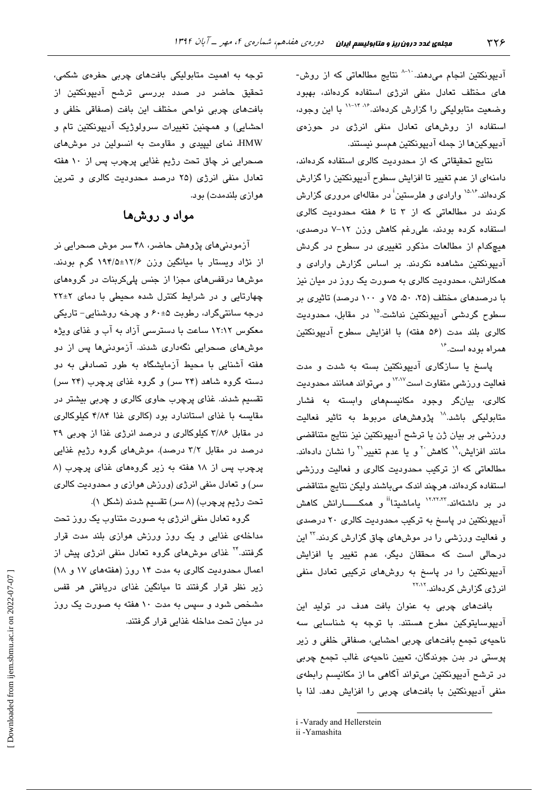آدیپونکتین انجام میدهند.<sup>۱۰</sup><sup>۸ </sup>نتایج مطالعاتی که از روش-های مختلف تعادل منفی انرژی استفاده کردهاند، بهبود وضعیت متابولیکی را گزارش کردهاند.<sup>۱٬۶</sup>۰۴٬۰۴ با این وجود، استفاده از روشهای تعادل منفی انرژی در حوزهی آديپوکينها از جمله آديپونکتين همسو نيستند.

نتائج تحقیقاتی که از محدودیت کالری استفاده کردهاند، دامنهای از عدم تغییر تا افزایش سطوح آدیپونکتین را گزارش کردهاند.<sup>۱۵،۱۶</sup> وارادی و هلرستین<sup>:</sup> در مقالهای مروری گزارش کردند در مطالعاتی که از ۳ تا ۶ هفته محدودیت کالری استفاده کرده بودند، علی رغم کاهش وزن ١٢-٧ درصدی، هیچکدام از مطالعات مذکور تغییری در سطوح در گردش آدیپونکتین مشاهده نکردند. بر اساس گزارش وارادی و همکارانش، محدودیت کالری به صورت یک روز در میان نیز با درصدهای مختلف (۲۵، ۵۰، ۷۵ و ۱۰۰ درصد) تاثیری بر سطوح گردشی آدیپونکتین نداشت.<sup>۱۵</sup> در مقابل، محدودیت كالرى بلند مدت (۵۶ هفته) با افزايش سطوح آديپونكتين همر اه يو ده است.<sup>۱۶</sup>

یاسخ یا سازگاری آدیپونکتین بسته به شدت و مدت فعالیت ورزشی متفاوت است<sup>۱۳٬۱۷</sup> و میتواند همانند محدودیت کالری، بیانگر وجود مکانیسمهای وابسته به فشار متابولیکی باشد.<sup>۱۸</sup> پژوهشهای مربوط به تاثیر فعالیت ورزشی بر بیان ژن یا ترشح آدیپونکتین نیز نتایج متناقضی مانند افزایش،<sup>۱۹</sup> کاهش<sup>۲۰</sup> و یا عدم تغییر<sup>۲۰</sup> را نشان دادهاند. مطالعاتی که از ترکیب محدودیت کالری و فعالیت ورزشی استفاده کردهاند، هرچند اندک میباشند ولیکن نتایج متناقضی در بر داشتهاند.<sup>۱۲٬۲۲٬۲۲</sup> یاماشیتا<sup>ii</sup> و همکــــــارانش کاهش آدیپونکتین در پاسخ به ترکیب محدودیت کالری ۲۰ درصدی و فعالیت ورزشی را در موشهای چاق گزارش کردند.<sup>۲۲</sup> این درحالی است که محققان دیگر، عدم تغییر یا افزایش آدیپونکتین را در پاسخ به روشهای ترکیبی تعادل منفی انرژی گزارش کردهاند.<sup>۲۲،۱۲</sup>

بافتهای چربی به عنوان بافت هدف در تولید این آدیپوسایتوکین مطرح هستند. با توجه به شناسایی سه ناحیهی تجمع بافتهای چربی احشایی، صفاقی خلفی و زیر یوستی در بدن جوندگان، تعیین ناحیهی غالب تجمع چربی در ترشح آدیپونکتین میتواند آگاهی ما از مکانیسم رابطهی منفی آدیپونکتین با بافتهای چربی را افزایش دهد. لذا با

i -Varady and Hellerstein

توجه به اهمیت متابولیکی بافتهای چربی حفرهی شکمی، تحقیق حاضر در صدد بررسی ترشح آدیپونکتین از بافتهای چربی نواحی مختلف این بافت (صفاقی خلفی و احشایی) و همچنین تغییرات سرولوژیک آدیپونکتین تام و HMW، نمای لیپیدی و مقاومت به انسولین در موشهای صحرایی نر چاق تحت رژیم غذایی پرچرب پس از ۱۰ هفته تعادل منفی انرژی (۲۵ درصد محدودیت کالری و تمرین هوازي بلندمدت) بود.

# مواد و روشها

آزمودنیهای پژوهش حاضر، ۴۸ سر موش صحرایی نر از نژاد ویستار با میانگین وزن ۱۲/۶±۱۹۴/۵ گرم بودند. موشها درقفسهای مجزا از جنس پلیکربنات در گروههای چهارتایی و در شرایط کنترل شده محیطی با دمای ۲۲±۲ درجه سانتیگراد، رطوبت ۵±۶۰ و چرخه روشنایی− تاریکی معکوس ۱۲:۱۲ ساعت با دسترسی آزاد به آب و غذای ویژه موشهای صحرایی نگهداری شدند. آزمودنیها پس از دو هفته آشنایی با محیط آزمایشگاه به طور تصادفی به دو دسته گروه شاهد (۲۴ سر) و گروه غذای پرچرب (۲۴ سر) تقسیم شدند. غذای پرچرب حاوی کالری و چربی بیشتر در مقایسه با غذای استاندارد بود (کالری غذا ۴/۸۴ کیلوکالری در مقابل ۳/۸۶ کیلوکالری و درصد انرژی غذا از چربی ۳۹ درصد در مقابل ۳/۲ درصد). موشهای گروه رژیم غذایی پرچرب پس از ۱۸ هفته به زیر گروههای غذای پرچرب (۸ سر) و تعادل منفی انرژی (ورزش هوازی و محدودیت کالری تحت رژيم پرچرب) (٨ سر) تقسيم شدند (شكل ١).

گروه تعادل منفی انرژی به صورت متناوب یک روز تحت مداخلهی غذایی و یک روز ورزش هوازی بلند مدت قرار گرفتند.<sup>۲۴</sup> غذای موشهای گروه تعادل منفی انرژی پیش از اعمال محدودیت کالری به مدت ١۴ روز (هفتههای ١٧ و ١٨) زیر نظر قرار گرفتند تا میانگین غذای دریافتی هر قفس مشخص شود و سپس به مدت ۱۰ هفته به صورت یک روز در میان تحت مداخله غذایی قرار گرفتند.

ii -Yamashita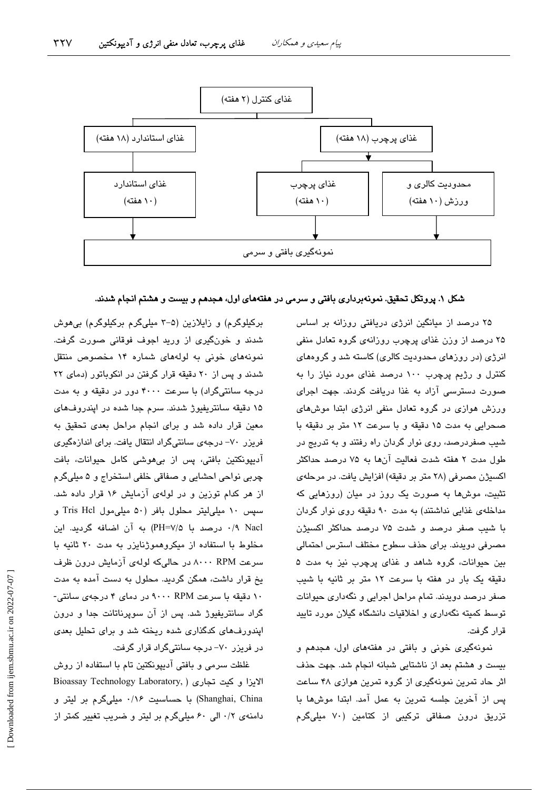

## شکل ۱. پروتکل تحقیق. نمونهبرداری بافتی و سرمی در هفتههای اول، هجدهم و بیست و هشتم انجام شدند.

۲۵ درصد از میانگین انرژی دریافتی روزانه بر اساس ۲۵ درصد از وزن غذای پرچرب روزانهی گروه تعادل منفی انرژی (در روزهای محدودیت کالری) کاسته شد و گروههای کنترل و رژیم پرچرب ۱۰۰ درصد غذای مورد نیاز را به صورت دسترسی آزاد به غذا دریافت کردند. جهت اجرای ورزش هوازی در گروه تعادل منفی انرژی ابتدا موشهای صحرايي به مدت ١۵ دقيقه و با سرعت ١٢ متر بر دقيقه با شیب صفردرصد، روی نوار گردان راه رفتند و به تدریج در طول مدت ۲ هفته شدت فعالیت آنها به ۷۵ درصد حداکثر اکسیژن مصرفی (۲۸ متر بر دقیقه) افزایش یافت. در مرحلهی تثبیت، موشها به صورت یک روز در میان (روزهایی که مداخلهی غذایی نداشتند) به مدت ۹۰ دقیقه روی نوار گردان با شيب صفر درصد و شدت ۷۵ درصد حداكثر اكسيژن مصرفی دویدند. برای حذف سطوح مختلف استرس احتمالی بین حیوانات، گروه شاهد و غذای پرچرب نیز به مدت ۵ دقیقه یک بار در هفته با سرعت ١٢ متر بر ثانیه با شیب صفر درصد دویدند. تمام مراحل اجرایی و نگهداری حیوانات توسط کمیته نگهداری و اخلاقیات دانشگاه گیلان مورد تایید قرار گرفت.

نمونهگیری خونی و بافتی در هفتههای اول، هجدهم و بیست و هشتم بعد از ناشتایی شبانه انجام شد. جهت حذف اثر حاد تمرین نمونهگیری از گروه تمرین هوازی ۴۸ ساعت پس از آخرین جلسه تمرین به عمل آمد. ابتدا موش ها با تزریق درون صفاقی ترکیبی از کتامین (۷۰ میلیگرم

برکیلوگرم) و زایلازین (۵–۳ میلیگرم برکیلوگرم) بی هوش شدند و خونگیری از ورید اجوف فوقانی صورت گرفت. نمونههای خونی به لولههای شماره ۱۴ مخصوص منتقل شدند و پس از ٢٠ دقیقه قرار گرفتن در انکوباتور (دمای ٢٢ درجه سانتیگراد) با سرعت ۴۰۰۰ دور در دقیقه و به مدت ۱۵ دقیقه سانتریفیوژ شدند. سرم جدا شده در اپندروفهای معین قرار داده شد و برای انجام مراحل بعدی تحقیق به فریزر ۷۰– درجهی سانتیگراد انتقال یافت. برای اندازهگیری آدیپونکتین بافتی، پس از بیهوشی کامل حیوانات، بافت چربي نواحي احشايي و صفاقي خلفي استخراج و ۵ ميليگرم از هر کدام توزین و در لولهی آزمایش ۱۶ قرار داده شد. سپس ١٠ ميلي ليتر محلول بافر (٥٠ ميلي مول Tris Hcl و ۰/۹ Nacl به آن اضافه گردید. این مخلوط با استفاده از میکروهموژنایزر به مدت ۲۰ ثانیه با سرعت ۸۰۰۰ RPM در حالیکه لولهی آزمایش درون ظرف یخ قرار داشت، همگن گردید. محلول به دست آمده به مدت ۱۰ دقیقه با سرعت ۹۰۰۰ RPM در دمای ۴ درجهی سانتی-گراد سانتریفیوژ شد. پس از آن سوپرناتانت جدا و درون اپندورفهای کدگذاری شده ریخته شد و برای تحلیل بعدی در فریزر ۷۰– درجه سانتیگراد قرار گرفت.

غلظت سرمی و بافتی آدیپونکتین تام با استفاده از روش Bioassay Technology Laboratory, ) الايزا و كيت تجارى Shanghai, China) با حساسیت ۰/۱۶ میلیگرم بر لیتر و دامنهی ۰/۲ الی ۶۰ میلیگرم بر لیتر و ضریب تغییر کمتر از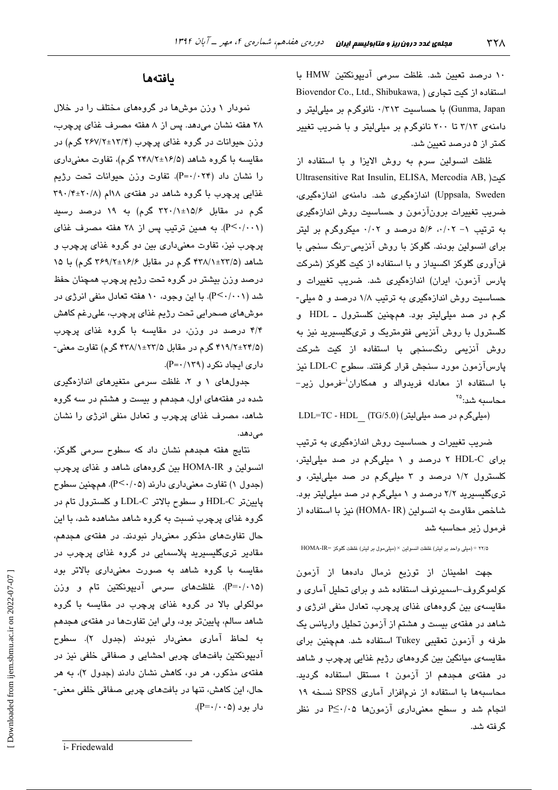۱۰ درصد تعیین شد. غلظت سرمی آدیپونکتین HMW با Biovendor Co., Ltd., Shibukawa, ) استفاده از کیت تجاری Gunma, Japan) با حساسیت ۰/۳۱۳ نانوگرم بر مبلی لیتر و دامنهی ۳/۱۳ تا ۲۰۰ نانوگرم بر میلی لیتر و با ضریب تغییر کمتر از ۵ درصد تعیین شد.

غلظت انسولین سرم به روش الایزا و یا استفاده از Ultrasensitive Rat Insulin, ELISA, Mercodia AB, ) Uppsala, Sweden) اندازهگیری شد. دامنهی اندازهگیری، ضرب تغییرات برونآزمون و حساست روش اندازهگیری به ترتیب ۱- ۰/۰۲، ۵/۶ درصد و ۰/۰۲ میکروگرم بر لیتر برای انسولین بودند. گلوکز با روش آنزیمی-رنگ سنجی با فنآوری گلوکز اکسیداز و یا استفاده از کیت گلوکز (شرکت پارس آزمون، ایران) اندازهگیری شد. ضریب تغییرات و حساسیت روش اندازهگیری به ترتیب ۱/۸ درصد و ۵ میلی-گرم در صد ميلي ليتر بود. همچنين کلسترول ـ HDL و کلسترول با روش آنزیمی فتومتریک و تریگلیسیرید نیز به روش آنزیمی رنگسنجی با استفاده از کیت شرکت پارسآزمون مورد سنجش قرار گرفتند. سطوح LDL-C نیز با استفاده از معادله فریدوالد و همکاران<sup>ن</sup>–فرمول زیر– محاسبه شد:<sup>۲۵</sup>

LDL=TC - HDL  $(TG/5.0)$  (میلی گرم در صد میلی لیتر)

ضریب تغییرات و حساسیت روش اندازهگیری به ترتیب برای HDL-C ۲ درصد و ۱ میلیگرم در صد میلی لیتر، کلسترول ۱/۲ درصد و ۳ میلیگرم در صد میلی لیتر، و تریگلیسیرید ۲/۲ درصد و ۱ میلیگرم در صد میلیلیتر بود. شاخص مقاومت به انسولین (HOMA- IR) نیز با استفاده از فرمول زیر محاسبه شد

ه/٢٢ ÷ (میلی واحد بر لیتر) غلظت انسولین × (میلیمول بر لیتر) غلظت گلوکز =HOMA-IR

جهت اطمینان از توزیع نرمال دادهها از آزمون کولموگروف-اسمیرنوف استفاده شد و برای تحلیل آماری و مقایسهی بین گروههای غذای پرچرب، تعادل منفی انرژی و شاهد در هفتهی بیست و هشتم از آزمون تحلیل واریانس یک طرفه و آزمون تعقیبی Tukey استفاده شد. همچنین برای مقایسەی میانگین بین گروهمای رژیم غذایی پرچرب و شاهد در هفتهی هجدهم از آزمون t مستقل استفاده گردید. محاسبهها با استفاده از نرمافزار آماری SPSS نسخه ۱۹ انجام شد و سطح معنیداری آزمونها P≤۰/۰۵ در نظر گر فته شد.

# بافتهها

نمودار ۱ وزن موشها در گروههای مختلف را در خلال ۲۸ هفته نشان میدهد. پس از ۸ هفته مصرف غذای پرچرب، وزن حیوانات در گروه غذای پرچرب (۲۳/۴±۲۶۷/۲ گرم) در مقایسه با گروه شاهد (۱۶/۵±۲۴۸/۲ گرم)، تفاوت معنی داری را نشان داد (۴+۰/۰۲۴). تفاوت وزن حیوانات تحت رژیم غذایی پرچرب با گروه شاهد در هفتهی ۱۸ام (۲۹۰/۴±۲۰/۸ گرم در مقابل ۱۵/۶±۲۲۰/۱ گرم) به ۱۹ درصد رسی*د* (P<۰/۰۰۱). به همین ترتیب پس از ۲۸ هفته مصرف غذای پرچرب نیز، تفاوت معنیداری بین دو گروه غذای پرچرب و شاهد (۲۳/۵±۴۳۸/۱ گرم در مقابل ۲۶۹/۲±۲۶۹/۲ گرم) با ۱۵ درصد وزن بيشتر در گروه تحت رژيم پرچرب همچنان حفظ شد (P<۰/۰۰۱). با این وجود، ۱۰ هفته تعادل منفی انرژی در موشهای صحرایی تحت رژیم غذای پرچرب، علیرغم کاهش ۴/۴ درصد در وزن، در مقایسه با گروه غذای پرچرب (۴/۹/۲±۲۴/۵ گرم در مقابل ۲۳/۱±۲۳/۱ گرم) تفاوت معنی-داری ایجاد نکرد (۲۹/ P=۰/۱۳۹).

جدولهای ۱ و ۲، غلظت سرمی متغیرهای اندازهگیری شده در هفتههای اول، هجدهم و بیست و هشتم در سه گروه شاهد، مصرف غذای پرچرب و تعادل منفی انرژی را نشان مے ردھد.

نتایج هفته هجدهم نشان داد که سطوح سرمی گلوکز، انسولین و HOMA-IR بین گروههای شاهد و غذای پرچرب (جدول ۱) تفاوت معنیداری دارند (P<۰/۰۵). همچنین سطوح يابينتر HDL-C و سطوح بالاتر LDL-C و كلسترول تام در گروه غذای پرچرب نسبت به گروه شاهد مشاهده شد، با این حال تفاوتهای مذکور معنیدار نبودند. در هفتهی هجدهم، مقادیر تریگلیسیرید پلاسمایی در گروه غذای پرچرب در مقایسه با گروه شاهد به صورت معنیداری بالاتر بود (P=۰/۰۱۵). غلظتهای سرمی آدیپونکتین تام و وزن مولکولی بالا در گروه غذای پرچرب در مقایسه با گروه شاهد سالم، پایینتر بود، ولی این تفاوتها در هفتهی هجدهم به لحاظ آماری معنیدار نبودند (جدول ۲). سطوح آدیپونکتین بافتهای چربی احشایی و صفاقی خلفی نیز در هفتهی مذکور، هر دو، کاهش نشان دادند (جدول ۲)، به هر حال، این کاهش، تنها در بافتهای چربی صفاقی خلفی معنی- $(P = \cdot / \cdot \cdot \infty)$  دار بورد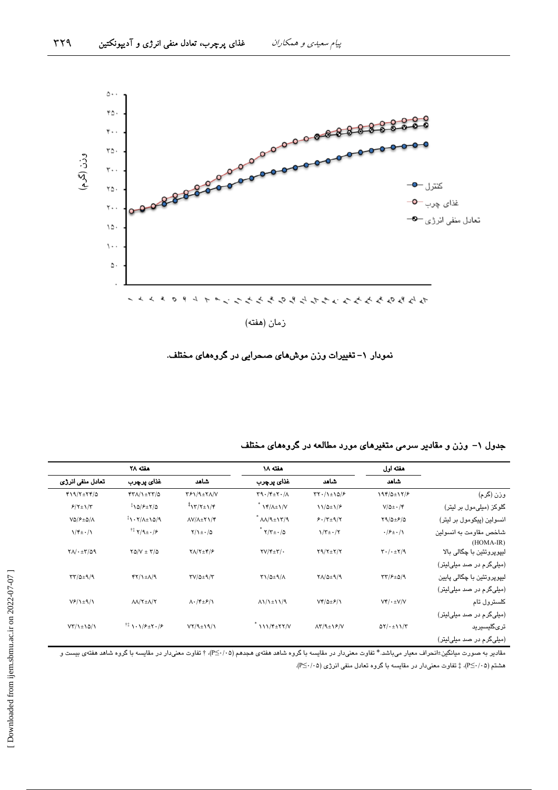

نمودار ١– تغییرات وزن موشهای صحرایی در گروههای مختلف.

|                                       | هفته اول                                             |                                                      | هفته ۱۸                                       |                                                      |                                                    |                                   |
|---------------------------------------|------------------------------------------------------|------------------------------------------------------|-----------------------------------------------|------------------------------------------------------|----------------------------------------------------|-----------------------------------|
|                                       | شاهد                                                 | شاهد                                                 | غذای پرچرب                                    | شاهد                                                 | غذاي پرچرب                                         | تعادل منفى انرژى                  |
| وزن (گرم)                             | 194/0±17/۶                                           | $\tau\tau$ ./1±10/۶                                  | $\Gamma$ 9. $\gamma$ + $\gamma$               | $Y$ ۶۱/۹ $\pm$ ۲۸/۷                                  | $YY/\lambda + YY/\Delta$                           | $f19/7\pm77/0$                    |
| گلوکز (میلی،مول بر لیتر)              | $V/\Delta \pm \cdot / \mathcal{F}$                   | $11/2 \pm 1/2$                                       | $\frac{14}{\sqrt{2}}\frac{1}{\sqrt{2}}$       | $\sqrt[3]{17/7}$                                     | 10/8±7/0                                           | $F(Y \pm 1)/T$                    |
| انسولین (پیکومول بر لیتر)             | $Y9/\Delta \pm 9/\Delta$                             | $9.7+17$                                             | $^*$ $\Lambda\Lambda/9$ $\pm$ $\Lambda\gamma$ | $\Lambda V/\Lambda \pm Y \Lambda/F$                  | $1.51 - 77 - 77$                                   | $V\Delta/F\pm\Delta/\Lambda$      |
| شاخص مقاومت به انسولین<br>$(HOMA-IR)$ | $\cdot$ /۶ $\pm$ $\cdot$ /\                          | $\frac{\gamma}{\tau}$ / $\frac{\gamma}{\tau}$        | $^*$ ۲/۲ $\pm$ ۰/۵                            | $Y/\iota$ + $\cdot$ / $\circ$                        | $^{\dagger\ddagger}$ $\Upsilon/9$ $\pm$ $\cdot$ /۶ | $\frac{1}{\tau + \cdot}$          |
| لیپوپروتئین با چگالی بالا             | $\mathbf{Y} \cdot / \cdot \pm \mathbf{Y}/\mathbf{Y}$ | $Y9/Y \pm Y/Y$                                       | $\Upsilon V/\Upsilon \pm \Upsilon/\cdot$      | $Y/\frac{Y+Y}{2}$                                    | $Y\Delta/V = Y/\Delta$                             | $Y \wedge / \cdot \pm Y / \omega$ |
| (میلی گرم در صد میلی لیتر)            |                                                      |                                                      |                                               |                                                      |                                                    |                                   |
| لیپوپروتئین با چگالی پایین            | $\tau\tau/\epsilon_{\pm\Delta}/9$                    | $Y \wedge / \Delta \pm 9 / 9$                        | $\Upsilon\Lambda/2\pm\Lambda/\Lambda$         | $\Upsilon V/\Delta \pm 9/\Upsilon$                   | $f(Y/\frac{1}{2})$                                 | $TY/\Delta + 9/9$                 |
| (مبلیگر م در صد مبلیلیتر)             |                                                      |                                                      |                                               |                                                      |                                                    |                                   |
| كلسترول تام                           | $Vf/\cdot \pm V/V$                                   | $Vf/\Delta \pm f/\Gamma$                             | $\Lambda$ 1/1 $\pm$ 11/9                      | $\Lambda \cdot / \gamma_{\pm} \mathcal{F} / \Lambda$ | $\Lambda\Lambda/\Upsilon \pm \Lambda/\Upsilon$     | $V$ // $\pm$ ۹/۱                  |
| (میلیگرم در صد میلیلینر)              |                                                      |                                                      |                                               |                                                      |                                                    |                                   |
| ترىگليسيريد                           | $QY/\cdot \pm 11/Y$                                  | $\Lambda \Upsilon / \Lambda \pm \Upsilon / \Upsilon$ | 111/ *= YY/V                                  | $VY/9 \pm 19/1$                                      | $11 \sqrt{5} + 1/9 + 7.19$                         | $VT/\frac{1}{2}10/1$              |
| (میلی،گر  در صد میلی،لیتر)            |                                                      |                                                      |                                               |                                                      |                                                    |                                   |

جدول ۱– وزن و مقادیر سرمی متغیرهای مورد مطالعه در گروههای مختلف

مقادیر به صورت میانگین±انحراف معیار میباشد.\* تفاوت معنیدار در مقایسه با گروه شاهد هفتهی هجدهم (P≤۰/۰۵)، † تفاوت معنیدار در مقایسه با گروه شاهد هفتهی بیست و هشتم (P≤٠/٠۵)، ‡ تفاوت معنىدار در مقايسه با گروه تعادل منفى انرژى (P≤٠/٠۵).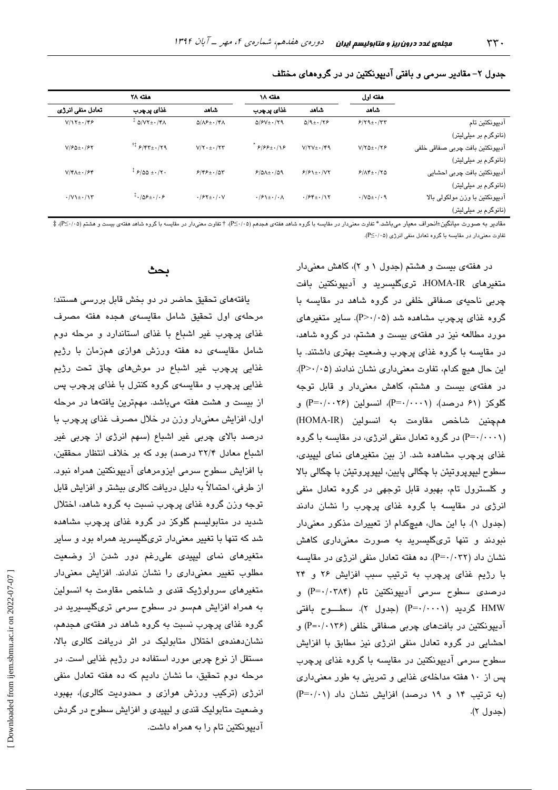|                                 | هفته اول<br>شاهد                      |                                       | هفته ۱۸                                            | هفته ۲۸                                       |                                                 |                                            |
|---------------------------------|---------------------------------------|---------------------------------------|----------------------------------------------------|-----------------------------------------------|-------------------------------------------------|--------------------------------------------|
|                                 |                                       | شاهد                                  | غذای پرچرب                                         | شاهد                                          | غذای پرچرب                                      | تعادل منفى انرژى                           |
| آدييونكتين تام                  | $9/79 \pm 1.77$                       | $Q/9$ + $\cdot$ / $\gamma$ $\epsilon$ | $\Delta$ / $\mathcal{F}V \pm \frac{1}{2}$ /79      | $\Delta/\Lambda$ ۶ $\pm$ $\cdot$ /۴ $\Lambda$ | $+$ $\Delta$ / $V$ ۲ $\pm$ $\cdot$ /۴ $\Lambda$ | $V/\Upsilon$ + $\cdot$ /۴۶                 |
| (نانوگرم بر میلیلیتر)           |                                       |                                       |                                                    |                                               |                                                 |                                            |
| آديپونکٽين بافت چربي صفاقي خلفي | $V/Y\Delta \pm \cdot /YP$             | $V/YV_{\pm}\cdot$ /۴۹                 | $999 + 18$                                         | $V/Y \cdot \pm \cdot / YY$                    | $17.5/97 \pm 0.179$                             | $V/F\Delta \pm -154$                       |
| (نانوگرم بر میلیلیتر)           |                                       |                                       |                                                    |                                               |                                                 |                                            |
| آديپونكتين بافت چربى احشايى     | $F/\Lambda f$ + . $/\Upsilon \Delta$  | $9/91 \pm 1.1$                        | $P/\Delta\Lambda$ + $\cdot$ /09                    | $9/89 \pm 100$                                | $\frac{1}{2}$ $5/20 + \frac{1}{2}$              | $V/\mathfrak{h} + \frac{1}{2}\mathfrak{h}$ |
| (نانوگرم بر میلیلیتر)           |                                       |                                       |                                                    |                                               |                                                 |                                            |
| آديپونکٽين با وزن مولکولي بالا  | $\cdot$ /VQ $\pm$ $\cdot$ / $\cdot$ 9 | $.784 \pm .717$                       | $\cdot$ / $\xi$ \ $\pm$ $\cdot$ / $\cdot$ $\wedge$ | $.197 \pm .100$                               | $\frac{1}{2} \cdot 10 \cdot 10 \cdot 10$        | $\cdot$ / $V$ \ $\pm$ $\cdot$ /\ $\tau$    |
| (نانو گر م بر مبلے لیتر)        |                                       |                                       |                                                    |                                               |                                                 |                                            |

#### جدول ۲– مقادیر سرمی و بافتی آدیپونکتین در در گروههای مختلف

مقادیر به صورت مبانگین±انجراف معبار می باشد.\* تفاوت معنیدار در مقاسب با گروه شاهد هفتهی هجدم (۴۷۰/۰۵)، † تفاوت معنیدار در مقاسب با گروه شاهد هفتهی بست و هشتم (۴۵/۰/۵)، ‡ تفاوت معنیدار در مقایسه با گروه تعادل منفی انرژی (P<...2).

> در هفتهی بیست و هشتم (جدول ۱ و ۲)، کاهش معنیدار متغیرهای HOMA-IR، تریگلیسرید و آدیپونکتین بافت چربی ناحیهی صفاقی خلفی در گروه شاهد در مقایسه با گروه غذای پرچرب مشاهده شد (P>٠/٠۵). سایر متغیرهای مورد مطالعه نیز در هفتهی بیست و هشتم، در گروه شاهد، در مقایسه با گروه غذای پرچرب وضعیت بهتری داشتند. با این حال هیچ کدام، تفاوت معنیداری نشان ندادند (P>٠/٠۵). در هفتهی بیست و هشتم، کاهش معنیدار و قابل توجه گلوکز (۶۱ درصد)، (۱۰۰۱-+P)، انسولین (۲۶-۰/۰۰۲) و هم چنين شاخص مقاومت به انسولين (HOMA-IR) (P=۰/۰۰۰۱) در گروه تعادل منفی انرژی، در مقایسه با گروه غذای پرچرب مشاهده شد. از بین متغیرهای نمای لیپیدی، سطوح ليپويروتيئن با چگالی پايين، ليپويروتيئن با چگالی بالا و کلسترول تام، بهبود قابل توجهی در گروه تعادل منفی انرژی در مقایسه با گروه غذای پرچرب را نشان دادند (جدول ١). با این حال، هیچکدام از تعییرات مذکور معنی دار نبودند و تنها تریگلیسرید به صورت معنیداری کاهش نشان داد (P=۰/۰۳۲). ده هفته تعادل منفی انرژی در مقایسه با رژيم غذاى پرچرب به ترتيب سبب افزايش ٢۶ و ٢۴ درصدی سطوح سرمی آدیپونکتین تام (P=۰/۰۳۸۴) و HMW گردید (P=۰/۰۰۰۱) (جدول ۲). سطـــوح بافتی آدیپونکتین در بافتهای چربی صفاقی خلفی (۱۳۶-۶۰۱۰) و احشایی در گروه تعادل منفی انرژی نیز مطابق با افزایش سطوح سرمی آدیپونکتین در مقایسه با گروه غذای پرچرب پس از ۱۰ هفته مداخلهی غذایی و تمرینی به طور معنیداری (به ترتیب ۱۴ و ۱۹ درصد) افزایش نشان داد (P=۰/۰۱) (جدول ۲).

## بحث

یافتههای تحقیق حاضر در دو بخش قابل بررسی هستند؛ مرحلهی اول تحقیق شامل مقایسهی هجده هفته مصرف غذای پرچرب غیر اشباع با غذای استاندارد و مرحله دوم شامل مقایسهی ده هفته ورزش هوازی همزمان با رژیم غذایی پرچرب غیر اشباع در موشهای چاق تحت رژیم غذایی پرچرب و مقایسهی گروه کنترل با غذای پرچرب پس از بیست و هشت هفته میباشد. مهمترین یافتهها در مرحله اول، افزایش معنیدار وزن در خلال مصرف غذای پرچرب با درصد بالای چربی غیر اشباع (سهم انرژی از چربی غیر اشباع معادل ۳۲/۴ درصد) بود که بر خلاف انتظار محققین، با افزایش سطوح سرمی ایزومرهای آدیپونکتین همراه نبود. از طرفی، احتمالاً به دلیل دریافت کالری بیشتر و افزایش قابل توجه وزن گروه غذای پرچرب نسبت به گروه شاهد، اختلال شدید در متابولیسم گلوکز در گروه غذای پرچرب مشاهده شد که تنها با تغییر معنیدار تریگلیسرید همراه بود و سایر متغیرهای نمای لیپیدی علیرغم دور شدن از وضعیت مطلوب تغییر معنیداری را نشان ندادند. افزایش معنیدار متغیرهای سرولوژیک قندی و شاخص مقاومت به انسولین به همراه افزایش همسو در سطوح سرمی تریگلیسیرید در گروه غذای پرچرب نسبت به گروه شاهد در هفتهی هجدهم، نشان دهندهی اختلال متابولیک در اثر دریافت کالری بالا، مستقل از نوع چربی مورد استفاده در رژیم غذایی است. در مرحله دوم تحقیق، ما نشان دادیم که ده هفته تعادل منفی انرژی (ترکیب ورزش هوازی و محدودیت کالری)، بهبود وضعیت متابولیک قندی و لیپیدی و افزایش سطوح در گردش آدیپونکتین تام را به همراه داشت.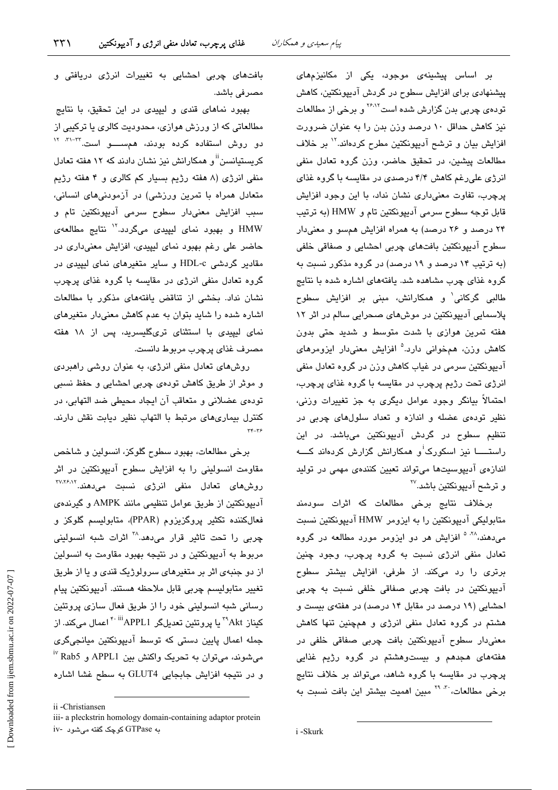بر اساس پیشینهی موجود، یکی از مکانیزمهای پیشنهادی برای افزایش سطوح در گردش آدیپونکتین، کاهش تودهی چربی بدن گزارش شده است<sup>۲۶،۱۲</sup> و برخی از مطالعات نیز کاهش حداقل ١٠ درصد وزن بدن را به عنوان ضرورت افزایش بیان و ترشح آدیپونکتین مطرح کردهاند.<sup>۱۲</sup> بر خلاف مطالعات پیشین، در تحقیق حاضر، وزن گروه تعادل منفی انرژی علیرغم کاهش ۴/۴ درصدی در مقایسه با گروه غذای پرچرب، تفاوت معنیداری نشان نداد، با این وجود افزایش قابل توجه سطوح سرمي آدبيونكتين تام و HMW (به ترتيب ۲۴ درصد و ۲۶ درصد) به همراه افزایش همسو و معنیدار سطوح آدیپونکتین بافتهای چربی احشایی و صفاقی خلفی (به ترتیب ۱۴ درصد و ۱۹ درصد) در گروه مذکور نسبت به گروه غذای چرب مشاهده شد. یافتههای اشاره شده با نتایج طالبی گرکانی<sup>٬</sup> و همکارانش، مبنی بر افزایش سطوح پلاسمانی آدیپونکتین در موشهای صحرانی سالم در اثر ۱۲ هفته تمرین هوازی با شدت متوسط و شدید حتی بدون کاهش وزن، همخوانی دارد.<sup>۵</sup> افزایش معنی،دار ایزومرهای آدیپونکتین سرمی در غیاب کاهش وزن در گروه تعادل منفی انرژی تحت رژیم پرچرب در مقایسه با گروه غذای پرچرب، احتمالاً بیانگر وجود عوامل دیگری به جز تغییرات وزن*ی*، .<br>نظیر توده*ی* عضله و اندازه و تعداد سلولهای چربی در تنظیم سطوح در گردش آدیپونکتین میباشد. در این راستـــــا نیز اسکورک<sup>:</sup>و همکارانش گزارش کردهاند کــــه اندازهی آدیپوسیتها میتواند تعیین کنندهی مهمی در تولید و ترشح آدیپونکتین باشد.™

برخلاف نتایج برخی مطالعات که اثرات سودمند متابولیکی آدیپونکتین را به ایزومر HMW آدیپونکتین نسبت میدهند،<sup>۲۸ ۵</sup> افزایش هر دو ایزومر مورد مطالعه در گروه تعادل منفی انرژی نسبت به گروه پرچرب، وجود چنین برتری را رد میکند. از طرفی، افزایش بیشتر سطوح آدیپونکتین در بافت چربی صفاقی خلفی نسبت به چربی احشایی (۱۹ درصد در مقابل ۱۴ درصد) در هفتهی بیست و هشتم در گروه تعادل منفی انرژی و همچنین تنها کاهش معنیدار سطوح آدیپونکتین بافت چربی صفاقی خلفی در هفتههای هجدهم و بیستوهشتم در گروه رژیم غذایی پرچرب در مقایسه با گروه شاهد، میتواند بر خلاف نتایج برخی مطالعات، به ۲۹ مبین اهمیت بیشتر این بافت نسبت به

بافتهای چربی احشایی به تغییرات انرژی دریافتی و مصرفی باشد.

بهبود نماهای قندی و لیپیدی در این تحقیق، با نتایج مطالعاتی که از ورزش هوازی، محدودیت کالری یا ترکیبی از دو روش استفاده کرده بودند، همســــو است.<sup>۳۲-۳۱</sup>۰ <sup>۱۲</sup> کریستیانسن<sup>!!</sup>و همکارانش نیز نشان دادند که ۱۲ هفته تعادل منفی انرژی (۸ هفته رژیم بسیار کم کالری و ۴ هفته رژیم متعادل همراه با تمرین ورزشی) در آزمودنیهای انسانی، سبب افزایش معنیدار سطوح سرمی آدیبونکتین تام و HMW و بهبود نمای لیپیدی میگردد.<sup>۱۲</sup> نتایج مطالعهی حاضر علی رغم بهبود نمای لیپیدی، افزایش معنیداری در مقادیر گردشی HDL-c و سایر متغیرهای نمای لیپیدی در گروه تعادل منفی انرژی در مقایسه با گروه غذای پرچرب نشان نداد. بخشی از تناقض یافتههای مذکور با مطالعات اشاره شده را شاید بتوان به عدم کاهش معنیدار متغیرهای نمای لیپیدی با استثنای تریگلیسرید، پس از ۱۸ هفته مصرف غذاي پرچرب مربوط دانست.

روشهای تعادل منفی انرژی، به عنوان روشی راهبردی و موثر از طریق کاهش تودهی چربی احشایی و حفظ نسبی تودهي عضلاني و متعاقب آن ايجاد محيطي ضد التهابي، در کنترل بیماریهای مرتبط با التهاب نظیر دیابت نقش دارند.

برخي مطالعات، بهبود سطوح گلوكز، انسولين و شاخص مقاومت انسولینی را به افزایش سطوح آدیپونکتین در اثر روشهای تعادل منفی انرژی نسبت میدهند.<sup>۳۷،۲۶،۱۲</sup> آدیپونکتین از طریق عوامل تنظیمی مانند AMPK و گیرندهی فعالکننده تکثیر پروگزیزوم (PPAR)، متابولیسم گلوکز و چربی را تحت تاثیر قرار میدهد.<sup>۲۸</sup> اثرات شبه انسولینی مربوط به آدیپونکتین و در نتیجه بهبود مقاومت به انسولین از دو جنبهی اثر بر متغیرهای سرولوژیک قندی و یا از طریق تغيير متابوليسم چربي قابل ملاحظه هستند. آديپونكتين پيام رسانی شبه انسولینی خود را از طریق فعال سازی پروتئین کیناز <sup>۳۹</sup>Akt یا پروتئین تعدیلگر APPL1<sup>۴۰ iii</sup>APPL1کیناز ۴<sup>۰ iii</sup> جمله اعمال پایین دستی که توسط آدیپونکتین میانجیگری میشوند، میتوان به تحریک واکنش بین APPL1 و Rab5 ٌ و در نتيجه افزايش جابجايي GLUT4 به سطح غشا اشاره

ii -Christiansen iii- a pleckstrin homology domain-containing adaptor protein به GTPase کوچک گفته می شود -iv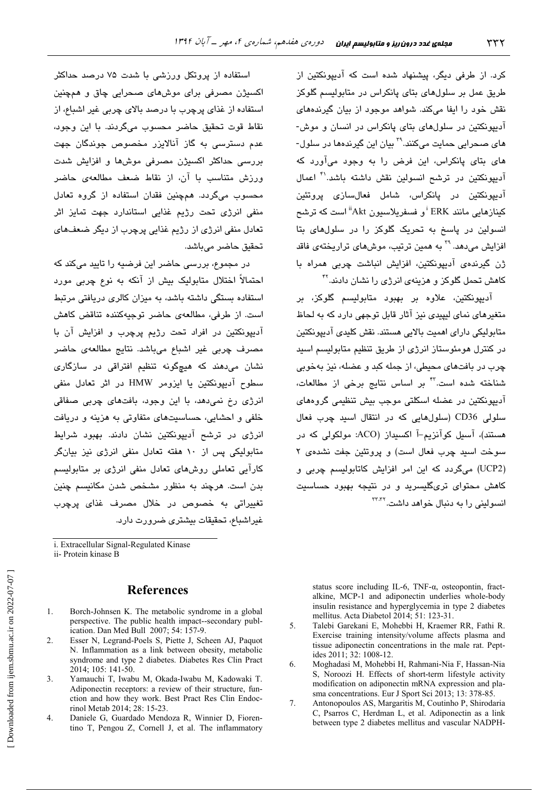کرد. از طرفی دیگر، پیشنهاد شده است که آدیپونکتین از طریق عمل بر سلولهای بتای پانکراس در متابولیسم گلوکز نقش خود را ایفا میکند. شواهد موجود از بیان گیرندههای آدیپونکتین در سلولهای بتای پانکراس در انسان و موش-های صحرابی حمایت میکنند.<sup>۲۹</sup> بیان این گیرندهها در سلول-های بتای پانکراس، این فرض را به وجود میآورد که آدیپونکتین در ترشح انسولین نقش داشته باشد.'<sup>۴</sup> اعمال آدیپونکتین در پانکراس، شامل فعال**سازی پروتئین** کینازهایی مانند ERK ً و فسفرپلاسیون Akt ًاست که ترشح انسولین در پاسخ به تحریک گلوکز را در سلولهای بتا افزایش می،دهد. <sup>۳۹</sup> به همین ترتیب، موشهای تراریختهی فاق*د* ژن گیرندهی آدیبونکتین، افزایش انباشت چربی همراه یا کاهش تحمل گلوکز و هزینه*ی* انرژی را نشان دادند.<sup>۴۲</sup>

آديپونکتين، علاوه بر بهبود متابوليسم گلوکز، بر متغیرهای نمای لبیدی نیز آثار قابل توجهی دارد که به لحاظ متابولیکی دارای اهمیت بالایی هستند. نقش کلیدی آدیپونکتین در کنترل هومئوستاز انرژی از طریق تنظیم متابولیسم اسید چرب در بافتهای محیطی، از جمله کند و عضله، نیز بهخوبی شناخته شده است.<sup>۲۳</sup> بر اساس نتایج برخی از مطالعات، ۔<br>آدسونکتین در عضله اسکلتی موجب بیش تنظیمی گروهها*ی* سلولی CD36 (سلولهایی که در انتقال اسید چرب فعال هستند)، آسبل کوآنزیم-آ اکسیداز (ACO: مولکولی که در سوخت اسید چرب فعال است) و پروتئین جفت نشدهی ۲ (UCP2) میگردد که این امر افزایش کاتابولیسم چربی و کاهش محتوای تریگلیسرید و در نتیجه بهبود حساسیت انسولینی را به دنبال خوا*هد* داشت.<sup>۲۳،۳۷</sup>

استفاده از پروتکل ورزشی با شدت ۷۵ درصد حداکثر اکسيژن مصرفي براي موشهاي صحرايي چاق و همچنين استفاده از غذای پرچرب با درصد بالای چربی غیر اشباع، از نقاط قوت تحقیق حاضر محسوب میگردند. با این وجود، عدم دسترسی به گاز آنالایزر مخصوص جوندگان جهت بررسے حداکثر اکسیژن مصرفی موش۵ا و افزایش شدت ورزش متناسب با آن، از نقاط ضعف مطالعهی حاضر محسوب میگردد. همچنین فقدان استفاده از گروه تعادل منفی انرژی تحت رژیم غذایی استاندارد جهت تمایز اثر تعادل منفی انرژی از رژیم غذایی پرچرب از دیگر ضعفهای تحقيق حاضر ميباشد.

در مجموع، بررسی حاضر این فرضیه را تایید میکند که احتمالاً اختلال متابولیک بیش از آنکه به نوع چربی مورد استفاده بستگی داشته باشد، به میزان کالری دریافتی مرتبط است. از طرفی، مطالعهی حاضر توجیهکننده تناقض کاهش آديپونکتين در افراد تحت رژيم پرچرب و افزايش آن با مصرف چربی غیر اشباع میباشد. نتایج مطالعهی حاضر نشان میدهند که هیچگونه تنظیم افتراقی در سازگار*ی* سطوح آدیپونکتین یا ایزومر HMW در اثر تعادل منفی انرژی رخ نمیدهد، با این وجود، بافتهای چربی صفاقی خلفی و احشایی، حساسیتهای متفاوتی به هزینه و دریافت انرژی در ترشح آدیپونکتین نشان دادند. بهبود شرایط متابولیکی پس از ۱۰ هفته تعادل منفی انرژی نیز بیانگر کارآیی تعاملی روشهای تعادل منفی انرژی بر متابولیسم بدن است. هرچند به منظور مشخص شدن مکانیسم چنین تغییراتی به خصوص در خلال مصرف غذای پرچرب غيراشباع، تحقيقات بيشترى ضرورت دارد.

i. Extracellular Signal-Regulated Kinase ii- Protein kinase B

## **References**

- $1.$ Borch-Johnsen K. The metabolic syndrome in a global perspective. The public health impact--secondary publication. Dan Med Bull 2007; 54: 157-9.
- $\overline{2}$ . Esser N, Legrand-Poels S, Piette J, Scheen AJ, Paquot N. Inflammation as a link between obesity, metabolic syndrome and type 2 diabetes. Diabetes Res Clin Pract 2014; 105: 141-50.
- 3. Yamauchi T, Iwabu M, Okada-Iwabu M, Kadowaki T. Adiponectin receptors: a review of their structure, function and how they work. Best Pract Res Clin Endocrinol Metab 2014; 28: 15-23.
- $\overline{4}$ . Daniele G, Guardado Mendoza R, Winnier D, Fiorentino T, Pengou Z, Cornell J, et al. The inflammatory

status score including IL-6, TNF- $\alpha$ , osteopontin, fractalkine, MCP-1 and adiponectin underlies whole-body insulin resistance and hyperglycemia in type 2 diabetes mellitus. Acta Diabetol 2014; 51: 123-31.

- Talebi Garekani E, Mohebbi H, Kraemer RR, Fathi R.  $\zeta$ Exercise training intensity/volume affects plasma and tissue adiponectin concentrations in the male rat. Peptides 2011; 32: 1008-12.
- Moghadasi M, Mohebbi H, Rahmani-Nia F, Hassan-Nia 6 S. Noroozi H. Effects of short-term lifestyle activity modification on adiponectin mRNA expression and plasma concentrations. Eur J Sport Sci 2013; 13: 378-85.
- $\overline{7}$ Antonopoulos AS, Margaritis M, Coutinho P, Shirodaria C, Psarros C, Herdman L, et al. Adiponectin as a link between type 2 diabetes mellitus and vascular NADPH-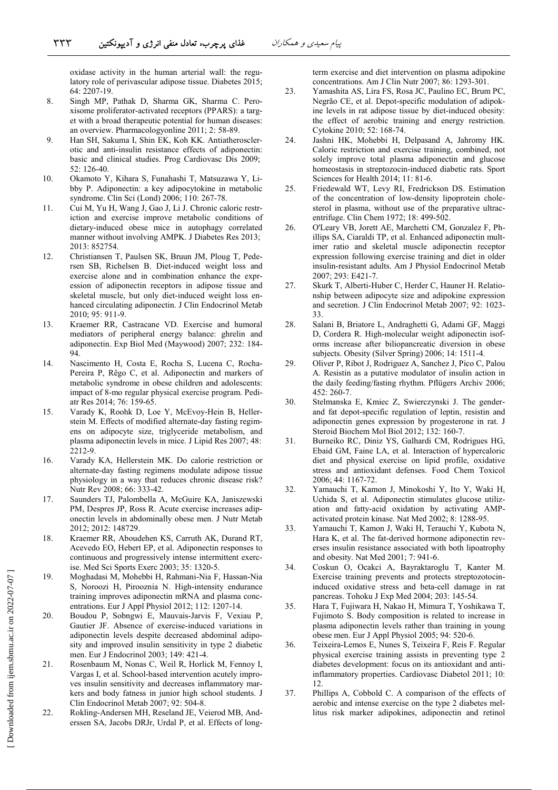oxidase activity in the human arterial wall: the regulatory role of perivascular adipose tissue. Diabetes 2015; 64: 2207-19.

- 8. Singh MP, Pathak D, Sharma GK, Sharma C. Peroxisome proliferator-activated receptors (PPARS): a target with a broad therapeutic potential for human diseases: an overview. Pharmacologyonline 2011; 2: 58-89.
- 9. Han SH, Sakuma I, Shin EK, Koh KK. Antiatherosclerotic and anti-insulin resistance effects of adiponectin: basic and clinical studies. Prog Cardiovasc Dis 2009;  $52:126-40.$
- 10. Okamoto Y, Kihara S, Funahashi T, Matsuzawa Y, Libby P. Adiponectin: a key adipocytokine in metabolic syndrome. Clin Sci (Lond) 2006; 110: 267-78.
- 11. Cui M, Yu H, Wang J, Gao J, Li J. Chronic caloric restriction and exercise improve metabolic conditions of dietary-induced obese mice in autophagy correlated manner without involving AMPK. J Diabetes Res 2013; 2013: 852754.
- 12. Christiansen T, Paulsen SK, Bruun JM, Ploug T, Pedersen SB, Richelsen B, Diet-induced weight loss and exercise alone and in combination enhance the expression of adiponectin receptors in adipose tissue and skeletal muscle, but only diet-induced weight loss enhanced circulating adiponectin. J Clin Endocrinol Metab 2010; 95: 911-9.
- 13. Kraemer RR, Castracane VD. Exercise and humoral mediators of peripheral energy balance: ghrelin and adiponectin. Exp Biol Med (Maywood) 2007; 232: 184- $94$
- 14. Nascimento H, Costa E, Rocha S, Lucena C, Rocha-Pereira P, Rêgo C, et al. Adiponectin and markers of metabolic syndrome in obese children and adolescents: impact of 8-mo regular physical exercise program. Pediatr Res 2014; 76: 159-65.
- Varady K, Roohk D, Loe Y, McEvov-Hein B, Heller-15. stein M. Effects of modified alternate-day fasting regimens on adipocyte size, triglyceride metabolism, and plasma adiponectin levels in mice. J Lipid Res 2007; 48: 2212-9.
- Varady KA, Hellerstein MK. Do calorie restriction or 16. alternate-day fasting regimens modulate adipose tissue physiology in a way that reduces chronic disease risk? Nutr Rev 2008; 66: 333-42.
- 17. Saunders TJ, Palombella A, McGuire KA, Janiszewski PM, Despres JP, Ross R. Acute exercise increases adiponectin levels in abdominally obese men. J Nutr Metab 2012; 2012: 148729.
- 18. Kraemer RR, Aboudehen KS, Carruth AK, Durand RT, Acevedo EO, Hebert EP, et al. Adiponectin responses to continuous and progressively intense intermittent exercise. Med Sci Sports Exerc 2003; 35: 1320-5.
- 19. Moghadasi M, Mohebbi H, Rahmani-Nia F, Hassan-Nia S, Noroozi H, Pirooznia N. High-intensity endurance training improves adiponectin mRNA and plasma concentrations. Eur J Appl Physiol 2012; 112: 1207-14.
- 20. Boudou P, Sobngwi E, Mauvais-Jarvis F, Vexiau P, Gautier JF. Absence of exercise-induced variations in adiponectin levels despite decreased abdominal adiposity and improved insulin sensitivity in type 2 diabetic men. Eur J Endocrinol 2003; 149: 421-4.
- $21$ Rosenbaum M, Nonas C, Weil R, Horlick M, Fennoy I, Vargas I, et al. School-based intervention acutely improves insulin sensitivity and decreases inflammatory markers and body fatness in junior high school students. J Clin Endocrinol Metab 2007; 92: 504-8.
- 22. Rokling-Andersen MH, Reseland JE, Veierod MB, Anderssen SA, Jacobs DRJr, Urdal P, et al. Effects of long-

term exercise and diet intervention on plasma adipokine concentrations. Am J Clin Nutr 2007; 86: 1293-301.

- 23. Yamashita AS, Lira FS, Rosa JC, Paulino EC, Brum PC, Negrão CE, et al. Depot-specific modulation of adipokine levels in rat adipose tissue by diet-induced obesity: the effect of aerobic training and energy restriction. Cytokine 2010; 52: 168-74.
- 24. Jashni HK, Mohebbi H, Delpasand A, Jahromy HK. Caloric restriction and exercise training, combined, not solely improve total plasma adiponectin and glucose homeostasis in streptozocin-induced diabetic rats. Sport Sciences for Health 2014; 11: 81-6.
- Friedewald WT, Levy RI, Fredrickson DS. Estimation 25. of the concentration of low-density lipoprotein cholesterol in plasma, without use of the preparative ultracentrifuge. Clin Chem 1972; 18: 499-502.
- O'Leary VB, Jorett AE, Marchetti CM, Gonzalez F, Ph-26. illips SA, Ciaraldi TP, et al. Enhanced adiponectin multimer ratio and skeletal muscle adiponectin receptor expression following exercise training and diet in older insulin-resistant adults. Am J Physiol Endocrinol Metab 2007; 293: E421-7.
- 27. Skurk T, Alberti-Huber C, Herder C, Hauner H. Relationship between adipocyte size and adipokine expression and secretion. J Clin Endocrinol Metab 2007; 92: 1023-33
- 28. Salani B, Briatore L, Andraghetti G, Adami GF, Maggi D, Cordera R. High-molecular weight adiponectin isoforms increase after biliopancreatic diversion in obese subjects. Obesity (Silver Spring) 2006; 14: 1511-4.
- 29. Oliver P, Ribot J, Rodriguez A, Sanchez J, Pico C, Palou A. Resistin as a putative modulator of insulin action in the daily feeding/fasting rhythm. Pflügers Archiv 2006; 452: 260-7.
- 30. Stelmanska E, Kmiec Z, Swierczynski J. The genderand fat depot-specific regulation of leptin, resistin and adiponectin genes expression by progesterone in rat. J Steroid Biochem Mol Biol 2012; 132: 160-7.
- 31. Burneiko RC, Diniz YS, Galhardi CM, Rodrigues HG, Ebaid GM, Faine LA, et al. Interaction of hypercaloric diet and physical exercise on lipid profile, oxidative stress and antioxidant defenses. Food Chem Toxicol 2006; 44: 1167-72.
- Yamauchi T, Kamon J, Minokoshi Y, Ito Y, Waki H, 32. Uchida S, et al. Adiponectin stimulates glucose utilization and fatty-acid oxidation by activating AMPactivated protein kinase. Nat Med 2002; 8: 1288-95.
- 33. Yamauchi T, Kamon J, Waki H, Terauchi Y, Kubota N, Hara K, et al. The fat-derived hormone adiponectin reverses insulin resistance associated with both lipoatrophy and obesity. Nat Med 2001; 7: 941-6.
- 34. Coskun O, Ocakci A, Bayraktaroglu T, Kanter M. Exercise training prevents and protects streptozotocininduced oxidative stress and beta-cell damage in rat pancreas. Tohoku J Exp Med 2004; 203: 145-54.
- 35. Hara T. Fujiwara H. Nakao H. Mimura T. Yoshikawa T. Fujimoto S. Body composition is related to increase in plasma adiponectin levels rather than training in young obese men. Eur J Appl Physiol 2005; 94: 520-6.
- Teixeira-Lemos E, Nunes S, Teixeira F, Reis F. Regular 36. physical exercise training assists in preventing type 2 diabetes development: focus on its antioxidant and antiinflammatory properties. Cardiovasc Diabetol 2011; 10: 12
- Phillips A, Cobbold C. A comparison of the effects of 37. aerobic and intense exercise on the type 2 diabetes mellitus risk marker adipokines, adiponectin and retinol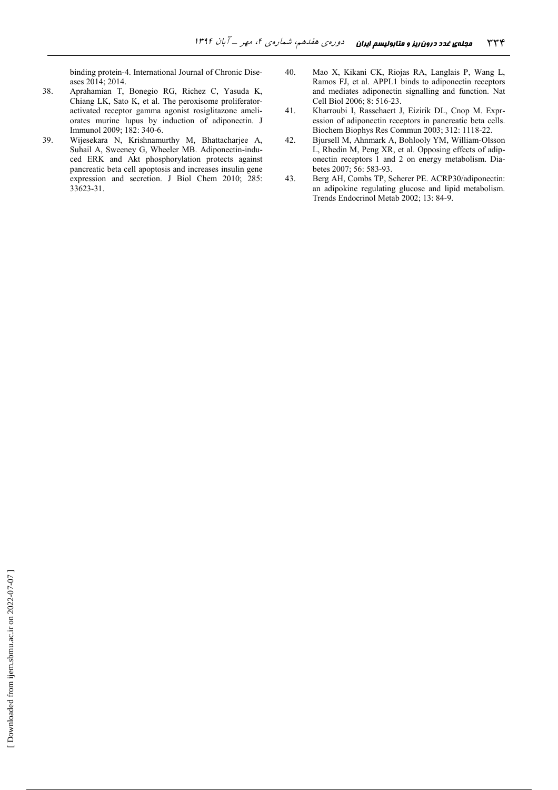binding protein-4. International Journal of Chronic Diseases 2014; 2014.

- 38. Aprahamian T, Bonegio RG, Richez C, Yasuda K, Chiang LK, Sato K, et al. The peroxisome proliferatoractivated receptor gamma agonist rosiglitazone ameliorates murine lupus by induction of adiponectin. J Immunol 2009; 182: 340-6.
- 39. Wijesekara N, Krishnamurthy M, Bhattacharjee A, Suhail A, Sweeney G, Wheeler MB. Adiponectin-induced ERK and Akt phosphorylation protects against pancreatic beta cell apoptosis and increases insulin gene expression and secretion. J Biol Chem 2010; 285: 33623-31.
- 40. Mao X, Kikani CK, Riojas RA, Langlais P, Wang L, Ramos FJ, et al. APPL1 binds to adiponectin receptors and mediates adiponectin signalling and function. Nat Cell Biol 2006; 8: 516-23.
- 41. Kharroubi I, Rasschaert J, Eizirik DL, Cnop M. Expression of adiponectin receptors in pancreatic beta cells. Biochem Biophys Res Commun 2003; 312: 1118-22.
- 42. Bjursell M, Ahnmark A, Bohlooly YM, William-Olsson L, Rhedin M, Peng XR, et al. Opposing effects of adiponectin receptors 1 and 2 on energy metabolism. Diabetes 2007; 56: 583-93.
- 43. Berg AH, Combs TP, Scherer PE. ACRP30/adiponectin: an adipokine regulating glucose and lipid metabolism. Trends Endocrinol Metab 2002; 13: 84-9.